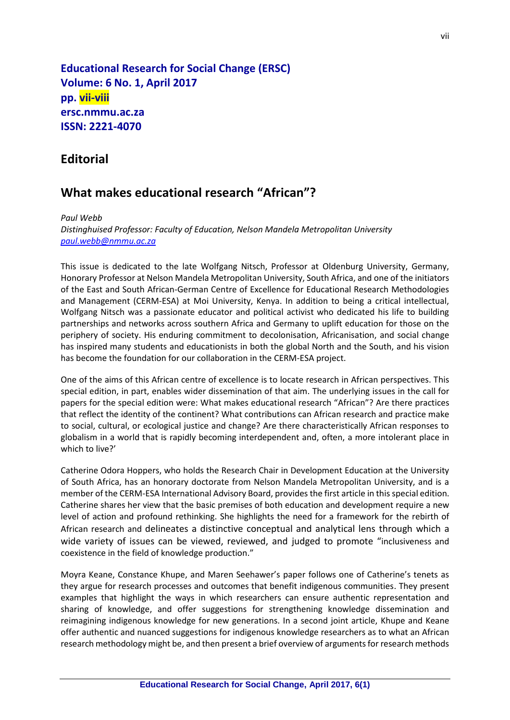**Educational Research for Social Change (ERSC) Volume: 6 No. 1, April 2017 pp. vii-viii ersc.nmmu.ac.za ISSN: 2221-4070**

## **Editorial**

## **What makes educational research "African"?**

*Paul Webb Distinghuised Professor: Faculty of Education, Nelson Mandela Metropolitan University [paul.webb@nmmu.ac.za](mailto:paul.webb@nmmu.ac.za)*

This issue is dedicated to the late Wolfgang Nitsch, Professor at Oldenburg University, Germany, Honorary Professor at Nelson Mandela Metropolitan University, South Africa, and one of the initiators of the East and South African-German Centre of Excellence for Educational Research Methodologies and Management (CERM-ESA) at Moi University, Kenya. In addition to being a critical intellectual, Wolfgang Nitsch was a passionate educator and political activist who dedicated his life to building partnerships and networks across southern Africa and Germany to uplift education for those on the periphery of society. His enduring commitment to decolonisation, Africanisation, and social change has inspired many students and educationists in both the global North and the South, and his vision has become the foundation for our collaboration in the CERM-ESA project.

One of the aims of this African centre of excellence is to locate research in African perspectives. This special edition, in part, enables wider dissemination of that aim. The underlying issues in the call for papers for the special edition were: What makes educational research "African"? Are there practices that reflect the identity of the continent? What contributions can African research and practice make to social, cultural, or ecological justice and change? Are there characteristically African responses to globalism in a world that is rapidly becoming interdependent and, often, a more intolerant place in which to live?'

Catherine Odora Hoppers, who holds the Research Chair in Development Education at the University of South Africa, has an honorary doctorate from Nelson Mandela Metropolitan University, and is a member of the CERM-ESA International Advisory Board, provides the first article in this special edition. Catherine shares her view that the basic premises of both education and development require a new level of action and profound rethinking. She highlights the need for a framework for the rebirth of African research and delineates a distinctive conceptual and analytical lens through which a wide variety of issues can be viewed, reviewed, and judged to promote "inclusiveness and coexistence in the field of knowledge production."

Moyra Keane, Constance Khupe, and Maren Seehawer's paper follows one of Catherine's tenets as they argue for research processes and outcomes that benefit indigenous communities. They present examples that highlight the ways in which researchers can ensure authentic representation and sharing of knowledge, and offer suggestions for strengthening knowledge dissemination and reimagining indigenous knowledge for new generations. In a second joint article, Khupe and Keane offer authentic and nuanced suggestions for indigenous knowledge researchers as to what an African research methodology might be, and then present a brief overview of arguments for research methods